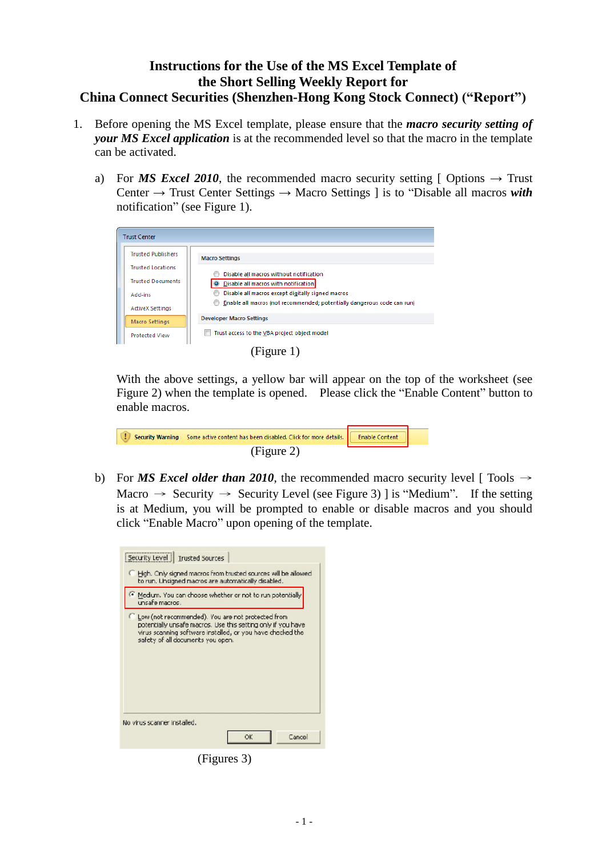## **Instructions for the Use of the MS Excel Template of the Short Selling Weekly Report for China Connect Securities (Shenzhen-Hong Kong Stock Connect) ("Report")**

- 1. Before opening the MS Excel template, please ensure that the *macro security setting of your MS Excel application* is at the recommended level so that the macro in the template can be activated.
	- a) For *MS Excel 2010*, the recommended macro security setting [ Options  $\rightarrow$  Trust Center → Trust Center Settings → Macro Settings ] is to "Disable all macros *with* notification" (see Figure 1).

| <b>Trust Center</b> |                           |                                                                                   |  |  |  |
|---------------------|---------------------------|-----------------------------------------------------------------------------------|--|--|--|
|                     | <b>Trusted Publishers</b> | <b>Macro Settings</b>                                                             |  |  |  |
|                     | <b>Trusted Locations</b>  |                                                                                   |  |  |  |
|                     | <b>Trusted Documents</b>  | Disable all macros without notification<br>O Disable all macros with notification |  |  |  |
|                     | Add-ins                   | Disable all macros except digitally signed macros                                 |  |  |  |
|                     | <b>ActiveX Settings</b>   | Enable all macros (not recommended; potentially dangerous code can run)           |  |  |  |
|                     | Macro Settings            | <b>Developer Macro Settings</b>                                                   |  |  |  |
|                     | <b>Protected View</b>     | Trust access to the VBA project object model                                      |  |  |  |
|                     |                           |                                                                                   |  |  |  |

(Figure 1)

With the above settings, a yellow bar will appear on the top of the worksheet (see Figure 2) when the template is opened. Please click the "Enable Content" button to enable macros.

| A I T | Security Warning Some active content has been disabled. Click for more details. <b>Example Security</b> Content |  |
|-------|-----------------------------------------------------------------------------------------------------------------|--|
|       | (Figure 2)                                                                                                      |  |

b) For *MS Excel older than 2010*, the recommended macro security level [ Tools  $\rightarrow$ Macro  $\rightarrow$  Security  $\rightarrow$  Security Level (see Figure 3) ] is "Medium". If the setting is at Medium, you will be prompted to enable or disable macros and you should click "Enable Macro" upon opening of the template.

| Security Level   Trusted Sources                                                                                                                                                                                       |  |  |  |
|------------------------------------------------------------------------------------------------------------------------------------------------------------------------------------------------------------------------|--|--|--|
| El High. Only signed macros from trusted sources will be allowed.<br>to run. Unsigned magros are automatically disabled.                                                                                               |  |  |  |
| Medium. You can choose whether or not to run potentially<br>unsafe macros .                                                                                                                                            |  |  |  |
| C Low (not recommended). You are not protected from<br>potentially unsafe macros. Use this setting only if you have<br>virus scanning saftware installed, or you have checked the<br>safety of all documents you open. |  |  |  |
| No virus scanner installed.                                                                                                                                                                                            |  |  |  |
| Cancel<br>ок                                                                                                                                                                                                           |  |  |  |

(Figures 3)